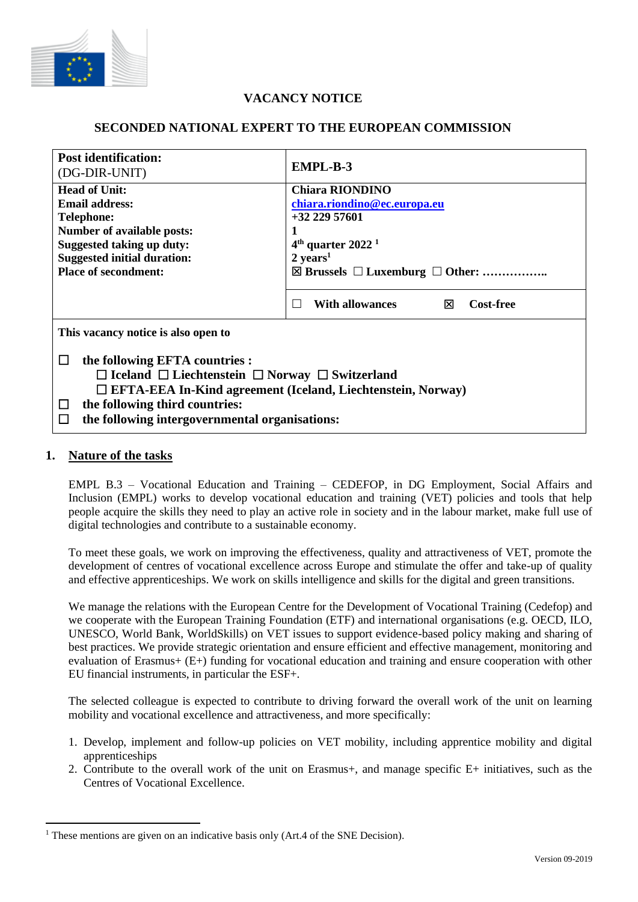

# **VACANCY NOTICE**

## **SECONDED NATIONAL EXPERT TO THE EUROPEAN COMMISSION**

| <b>Post identification:</b><br>(DG-DIR-UNIT)                                                                                                                                                                                                                                         | <b>EMPL-B-3</b>                                                                                                                   |
|--------------------------------------------------------------------------------------------------------------------------------------------------------------------------------------------------------------------------------------------------------------------------------------|-----------------------------------------------------------------------------------------------------------------------------------|
| <b>Head of Unit:</b><br>Email address:<br><b>Telephone:</b><br><b>Number of available posts:</b><br><b>Suggested taking up duty:</b><br><b>Suggested initial duration:</b>                                                                                                           | <b>Chiara RIONDINO</b><br>chiara.riondino@ec.europa.eu<br>$+3222957601$<br>$4th$ quarter 2022 <sup>1</sup><br>$2 \text{ years}^1$ |
| <b>Place of secondment:</b>                                                                                                                                                                                                                                                          | $\boxtimes$ Brussels $\Box$ Luxemburg $\Box$ Other:<br><b>With allowances</b><br><b>Cost-free</b><br>⊠<br>$\mathbf{I}$            |
| This vacancy notice is also open to                                                                                                                                                                                                                                                  |                                                                                                                                   |
| the following EFTA countries :<br>$\Box$<br>$\Box$ Iceland $\Box$ Liechtenstein $\Box$ Norway $\Box$ Switzerland<br>□ EFTA-EEA In-Kind agreement (Iceland, Liechtenstein, Norway)<br>the following third countries:<br>□<br>the following intergovernmental organisations:<br>$\Box$ |                                                                                                                                   |

#### **1. Nature of the tasks**

EMPL B.3 – Vocational Education and Training – CEDEFOP, in DG Employment, Social Affairs and Inclusion (EMPL) works to develop vocational education and training (VET) policies and tools that help people acquire the skills they need to play an active role in society and in the labour market, make full use of digital technologies and contribute to a sustainable economy.

To meet these goals, we work on improving the effectiveness, quality and attractiveness of VET, promote the development of centres of vocational excellence across Europe and stimulate the offer and take-up of quality and effective apprenticeships. We work on skills intelligence and skills for the digital and green transitions.

We manage the relations with the European Centre for the Development of Vocational Training (Cedefop) and we cooperate with the European Training Foundation (ETF) and international organisations (e.g. OECD, ILO, UNESCO, World Bank, WorldSkills) on VET issues to support evidence-based policy making and sharing of best practices. We provide strategic orientation and ensure efficient and effective management, monitoring and evaluation of Erasmus+ (E+) funding for vocational education and training and ensure cooperation with other EU financial instruments, in particular the ESF+.

The selected colleague is expected to contribute to driving forward the overall work of the unit on learning mobility and vocational excellence and attractiveness, and more specifically:

- 1. Develop, implement and follow-up policies on VET mobility, including apprentice mobility and digital apprenticeships
- 2. Contribute to the overall work of the unit on Erasmus+, and manage specific E+ initiatives, such as the Centres of Vocational Excellence.

<sup>&</sup>lt;sup>1</sup> These mentions are given on an indicative basis only (Art.4 of the SNE Decision).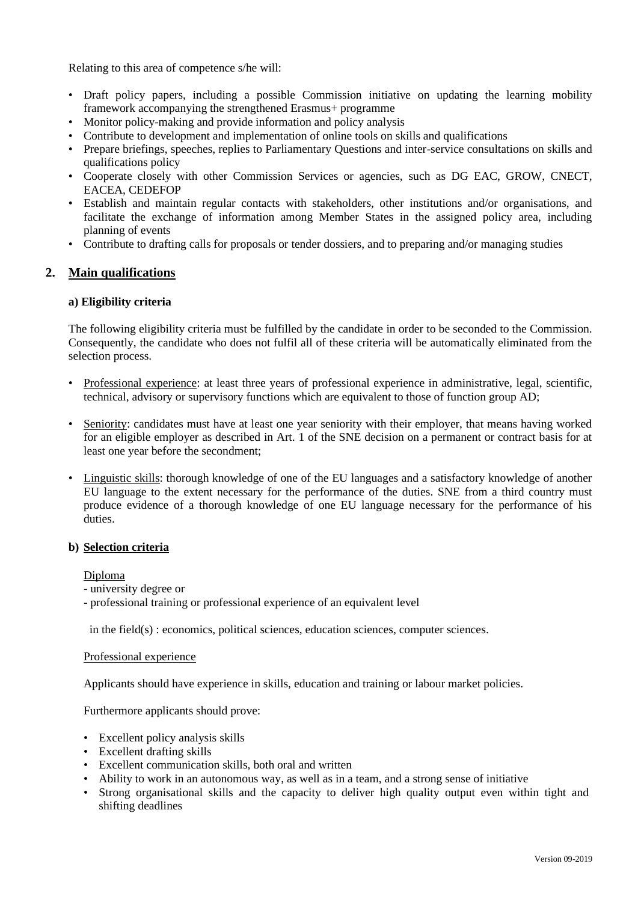Relating to this area of competence s/he will:

- Draft policy papers, including a possible Commission initiative on updating the learning mobility framework accompanying the strengthened Erasmus+ programme
- Monitor policy-making and provide information and policy analysis
- Contribute to development and implementation of online tools on skills and qualifications
- Prepare briefings, speeches, replies to Parliamentary Questions and inter-service consultations on skills and qualifications policy
- Cooperate closely with other Commission Services or agencies, such as DG EAC, GROW, CNECT, EACEA, CEDEFOP
- Establish and maintain regular contacts with stakeholders, other institutions and/or organisations, and facilitate the exchange of information among Member States in the assigned policy area, including planning of events
- Contribute to drafting calls for proposals or tender dossiers, and to preparing and/or managing studies

## **2. Main qualifications**

#### **a) Eligibility criteria**

The following eligibility criteria must be fulfilled by the candidate in order to be seconded to the Commission. Consequently, the candidate who does not fulfil all of these criteria will be automatically eliminated from the selection process.

- Professional experience: at least three years of professional experience in administrative, legal, scientific, technical, advisory or supervisory functions which are equivalent to those of function group AD;
- Seniority: candidates must have at least one year seniority with their employer, that means having worked for an eligible employer as described in Art. 1 of the SNE decision on a permanent or contract basis for at least one year before the secondment;
- Linguistic skills: thorough knowledge of one of the EU languages and a satisfactory knowledge of another EU language to the extent necessary for the performance of the duties. SNE from a third country must produce evidence of a thorough knowledge of one EU language necessary for the performance of his duties.

#### **b) Selection criteria**

Diploma

- university degree or
- professional training or professional experience of an equivalent level

in the field(s) : economics, political sciences, education sciences, computer sciences.

#### Professional experience

Applicants should have experience in skills, education and training or labour market policies.

Furthermore applicants should prove:

- Excellent policy analysis skills
- Excellent drafting skills
- Excellent communication skills, both oral and written
- Ability to work in an autonomous way, as well as in a team, and a strong sense of initiative
- Strong organisational skills and the capacity to deliver high quality output even within tight and shifting deadlines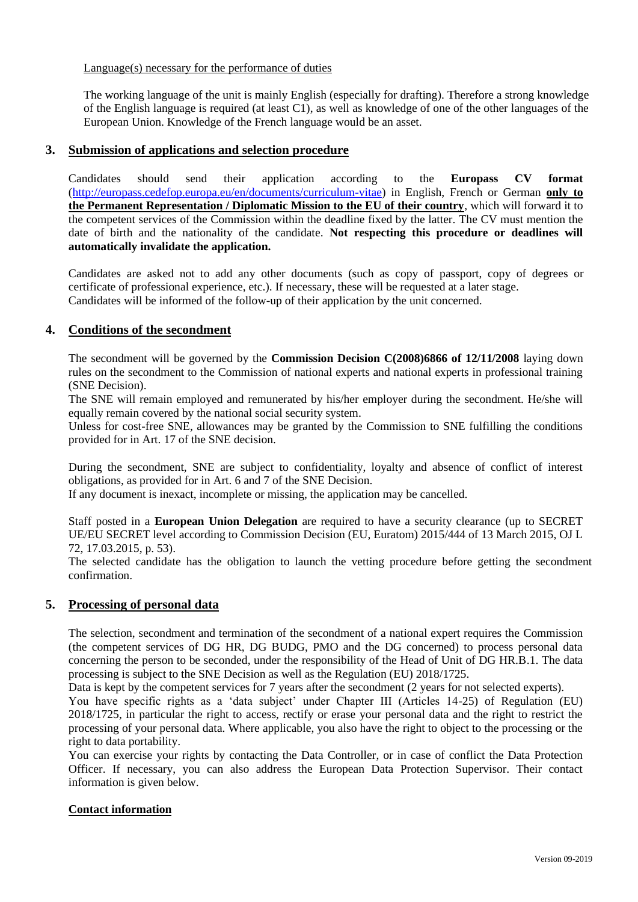## Language(s) necessary for the performance of duties

The working language of the unit is mainly English (especially for drafting). Therefore a strong knowledge of the English language is required (at least C1), as well as knowledge of one of the other languages of the European Union. Knowledge of the French language would be an asset.

## **3. Submission of applications and selection procedure**

Candidates should send their application according to the **Europass CV format**  [\(http://europass.cedefop.europa.eu/en/documents/curriculum-vitae\)](http://europass.cedefop.europa.eu/en/documents/curriculum-vitae) in English, French or German **only to the Permanent Representation / Diplomatic Mission to the EU of their country**, which will forward it to the competent services of the Commission within the deadline fixed by the latter. The CV must mention the date of birth and the nationality of the candidate. **Not respecting this procedure or deadlines will automatically invalidate the application.**

Candidates are asked not to add any other documents (such as copy of passport, copy of degrees or certificate of professional experience, etc.). If necessary, these will be requested at a later stage. Candidates will be informed of the follow-up of their application by the unit concerned.

## **4. Conditions of the secondment**

The secondment will be governed by the **Commission Decision C(2008)6866 of 12/11/2008** laying down rules on the secondment to the Commission of national experts and national experts in professional training (SNE Decision).

The SNE will remain employed and remunerated by his/her employer during the secondment. He/she will equally remain covered by the national social security system.

Unless for cost-free SNE, allowances may be granted by the Commission to SNE fulfilling the conditions provided for in Art. 17 of the SNE decision.

During the secondment, SNE are subject to confidentiality, loyalty and absence of conflict of interest obligations, as provided for in Art. 6 and 7 of the SNE Decision.

If any document is inexact, incomplete or missing, the application may be cancelled.

Staff posted in a **European Union Delegation** are required to have a security clearance (up to SECRET UE/EU SECRET level according to Commission Decision (EU, Euratom) 2015/444 of 13 March 2015, OJ L 72, 17.03.2015, p. 53).

The selected candidate has the obligation to launch the vetting procedure before getting the secondment confirmation.

#### **5. Processing of personal data**

The selection, secondment and termination of the secondment of a national expert requires the Commission (the competent services of DG HR, DG BUDG, PMO and the DG concerned) to process personal data concerning the person to be seconded, under the responsibility of the Head of Unit of DG HR.B.1. The data processing is subject to the SNE Decision as well as the Regulation (EU) 2018/1725.

Data is kept by the competent services for 7 years after the secondment (2 years for not selected experts).

You have specific rights as a 'data subject' under Chapter III (Articles 14-25) of Regulation (EU) 2018/1725, in particular the right to access, rectify or erase your personal data and the right to restrict the processing of your personal data. Where applicable, you also have the right to object to the processing or the right to data portability.

You can exercise your rights by contacting the Data Controller, or in case of conflict the Data Protection Officer. If necessary, you can also address the European Data Protection Supervisor. Their contact information is given below.

## **Contact information**